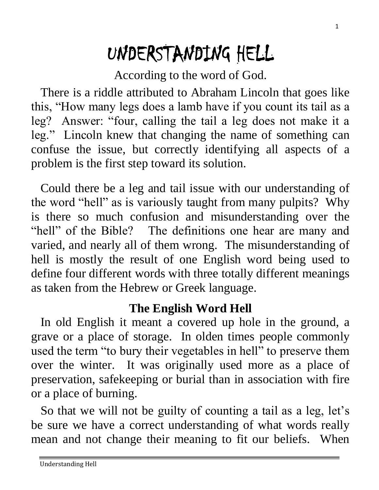# UNDERSTANDING HELL

According to the word of God.

 There is a riddle attributed to Abraham Lincoln that goes like this, "How many legs does a lamb have if you count its tail as a leg? Answer: "four, calling the tail a leg does not make it a leg." Lincoln knew that changing the name of something can confuse the issue, but correctly identifying all aspects of a problem is the first step toward its solution.

 Could there be a leg and tail issue with our understanding of the word "hell" as is variously taught from many pulpits? Why is there so much confusion and misunderstanding over the "hell" of the Bible? The definitions one hear are many and varied, and nearly all of them wrong. The misunderstanding of hell is mostly the result of one English word being used to define four different words with three totally different meanings as taken from the Hebrew or Greek language.

#### **The English Word Hell**

 In old English it meant a covered up hole in the ground, a grave or a place of storage. In olden times people commonly used the term "to bury their vegetables in hell" to preserve them over the winter. It was originally used more as a place of preservation, safekeeping or burial than in association with fire or a place of burning.

 So that we will not be guilty of counting a tail as a leg, let's be sure we have a correct understanding of what words really mean and not change their meaning to fit our beliefs. When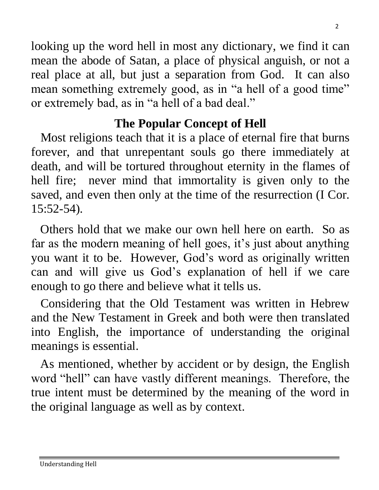looking up the word hell in most any dictionary, we find it can mean the abode of Satan, a place of physical anguish, or not a real place at all, but just a separation from God. It can also mean something extremely good, as in "a hell of a good time" or extremely bad, as in "a hell of a bad deal."

# **The Popular Concept of Hell**

 Most religions teach that it is a place of eternal fire that burns forever, and that unrepentant souls go there immediately at death, and will be tortured throughout eternity in the flames of hell fire; never mind that immortality is given only to the saved, and even then only at the time of the resurrection (I Cor. 15:52-54).

 Others hold that we make our own hell here on earth. So as far as the modern meaning of hell goes, it's just about anything you want it to be. However, God's word as originally written can and will give us God's explanation of hell if we care enough to go there and believe what it tells us.

 Considering that the Old Testament was written in Hebrew and the New Testament in Greek and both were then translated into English, the importance of understanding the original meanings is essential.

 As mentioned, whether by accident or by design, the English word "hell" can have vastly different meanings. Therefore, the true intent must be determined by the meaning of the word in the original language as well as by context.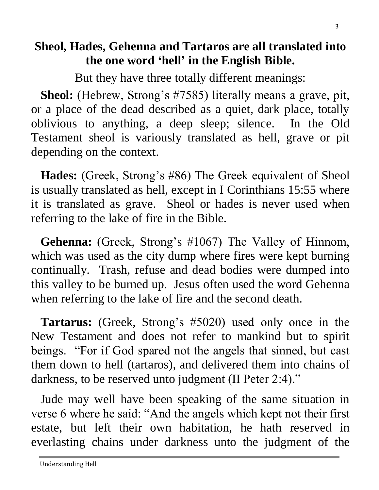# **Sheol, Hades, Gehenna and Tartaros are all translated into the one word 'hell' in the English Bible.**

But they have three totally different meanings:

 **Sheol:** (Hebrew, Strong's #7585) literally means a grave, pit, or a place of the dead described as a quiet, dark place, totally oblivious to anything, a deep sleep; silence. In the Old Testament sheol is variously translated as hell, grave or pit depending on the context.

 **Hades:** (Greek, Strong's #86) The Greek equivalent of Sheol is usually translated as hell, except in I Corinthians 15:55 where it is translated as grave. Sheol or hades is never used when referring to the lake of fire in the Bible.

 **Gehenna:** (Greek, Strong's #1067) The Valley of Hinnom, which was used as the city dump where fires were kept burning continually. Trash, refuse and dead bodies were dumped into this valley to be burned up. Jesus often used the word Gehenna when referring to the lake of fire and the second death.

 **Tartarus:** (Greek, Strong's #5020) used only once in the New Testament and does not refer to mankind but to spirit beings. "For if God spared not the angels that sinned, but cast them down to hell (tartaros), and delivered them into chains of darkness, to be reserved unto judgment (II Peter 2:4)."

 Jude may well have been speaking of the same situation in verse 6 where he said: "And the angels which kept not their first estate, but left their own habitation, he hath reserved in everlasting chains under darkness unto the judgment of the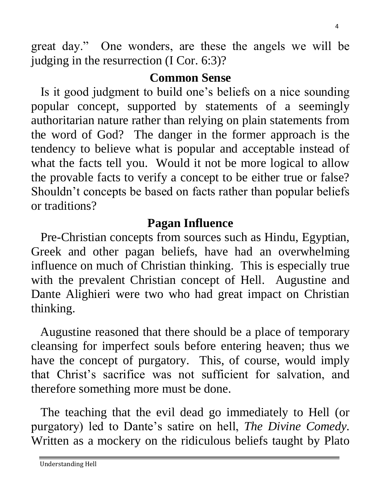great day." One wonders, are these the angels we will be judging in the resurrection (I Cor. 6:3)?

# **Common Sense**

 Is it good judgment to build one's beliefs on a nice sounding popular concept, supported by statements of a seemingly authoritarian nature rather than relying on plain statements from the word of God? The danger in the former approach is the tendency to believe what is popular and acceptable instead of what the facts tell you. Would it not be more logical to allow the provable facts to verify a concept to be either true or false? Shouldn't concepts be based on facts rather than popular beliefs or traditions?

# **Pagan Influence**

 Pre-Christian concepts from sources such as Hindu, Egyptian, Greek and other pagan beliefs, have had an overwhelming influence on much of Christian thinking. This is especially true with the prevalent Christian concept of Hell. Augustine and Dante Alighieri were two who had great impact on Christian thinking.

 Augustine reasoned that there should be a place of temporary cleansing for imperfect souls before entering heaven; thus we have the concept of purgatory. This, of course, would imply that Christ's sacrifice was not sufficient for salvation, and therefore something more must be done.

 The teaching that the evil dead go immediately to Hell (or purgatory) led to Dante's satire on hell, *The Divine Comedy.* Written as a mockery on the ridiculous beliefs taught by Plato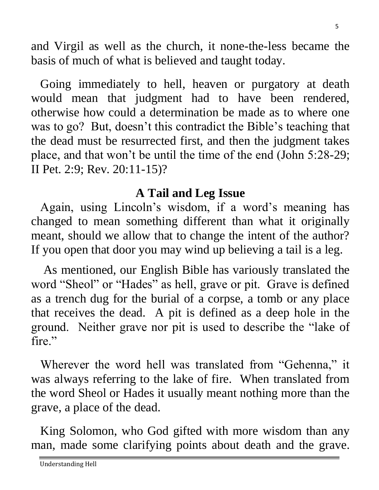and Virgil as well as the church, it none-the-less became the basis of much of what is believed and taught today.

 Going immediately to hell, heaven or purgatory at death would mean that judgment had to have been rendered, otherwise how could a determination be made as to where one was to go? But, doesn't this contradict the Bible's teaching that the dead must be resurrected first, and then the judgment takes place, and that won't be until the time of the end (John 5:28-29; II Pet. 2:9; Rev. 20:11-15)?

#### **A Tail and Leg Issue**

 Again, using Lincoln's wisdom, if a word's meaning has changed to mean something different than what it originally meant, should we allow that to change the intent of the author? If you open that door you may wind up believing a tail is a leg.

 As mentioned, our English Bible has variously translated the word "Sheol" or "Hades" as hell, grave or pit. Grave is defined as a trench dug for the burial of a corpse, a tomb or any place that receives the dead. A pit is defined as a deep hole in the ground. Neither grave nor pit is used to describe the "lake of fire."

Wherever the word hell was translated from "Gehenna," it was always referring to the lake of fire. When translated from the word Sheol or Hades it usually meant nothing more than the grave, a place of the dead.

 King Solomon, who God gifted with more wisdom than any man, made some clarifying points about death and the grave.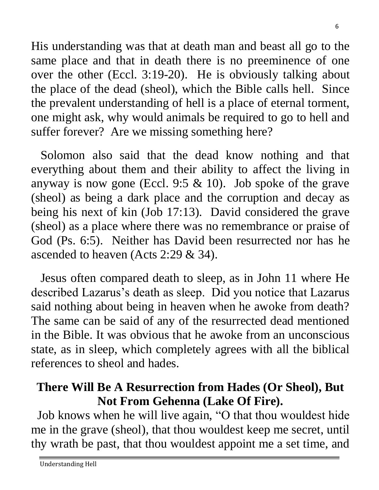His understanding was that at death man and beast all go to the same place and that in death there is no preeminence of one over the other (Eccl. 3:19-20). He is obviously talking about the place of the dead (sheol), which the Bible calls hell. Since the prevalent understanding of hell is a place of eternal torment, one might ask, why would animals be required to go to hell and suffer forever? Are we missing something here?

 Solomon also said that the dead know nothing and that everything about them and their ability to affect the living in anyway is now gone (Eccl. 9:5  $& 10$ ). Job spoke of the grave (sheol) as being a dark place and the corruption and decay as being his next of kin (Job 17:13). David considered the grave (sheol) as a place where there was no remembrance or praise of God (Ps. 6:5). Neither has David been resurrected nor has he ascended to heaven (Acts 2:29 & 34).

 Jesus often compared death to sleep, as in John 11 where He described Lazarus's death as sleep. Did you notice that Lazarus said nothing about being in heaven when he awoke from death? The same can be said of any of the resurrected dead mentioned in the Bible. It was obvious that he awoke from an unconscious state, as in sleep, which completely agrees with all the biblical references to sheol and hades.

## **There Will Be A Resurrection from Hades (Or Sheol), But Not From Gehenna (Lake Of Fire).**

 Job knows when he will live again, "O that thou wouldest hide me in the grave (sheol), that thou wouldest keep me secret, until thy wrath be past, that thou wouldest appoint me a set time, and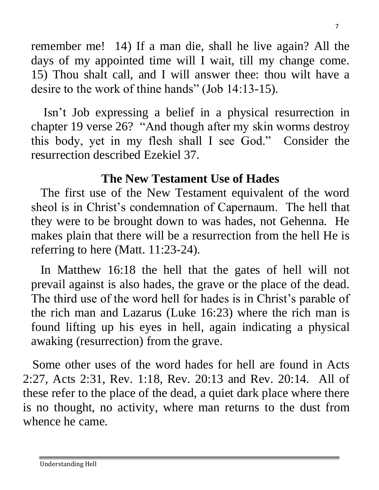remember me! 14) If a man die, shall he live again? All the days of my appointed time will I wait, till my change come. 15) Thou shalt call, and I will answer thee: thou wilt have a desire to the work of thine hands" (Job 14:13-15).

 Isn't Job expressing a belief in a physical resurrection in chapter 19 verse 26? "And though after my skin worms destroy this body, yet in my flesh shall I see God." Consider the resurrection described Ezekiel 37.

# **The New Testament Use of Hades**

 The first use of the New Testament equivalent of the word sheol is in Christ's condemnation of Capernaum. The hell that they were to be brought down to was hades, not Gehenna. He makes plain that there will be a resurrection from the hell He is referring to here (Matt. 11:23-24).

 In Matthew 16:18 the hell that the gates of hell will not prevail against is also hades, the grave or the place of the dead. The third use of the word hell for hades is in Christ's parable of the rich man and Lazarus (Luke 16:23) where the rich man is found lifting up his eyes in hell, again indicating a physical awaking (resurrection) from the grave.

 Some other uses of the word hades for hell are found in Acts 2:27, Acts 2:31, Rev. 1:18, Rev. 20:13 and Rev. 20:14. All of these refer to the place of the dead, a quiet dark place where there is no thought, no activity, where man returns to the dust from whence he came.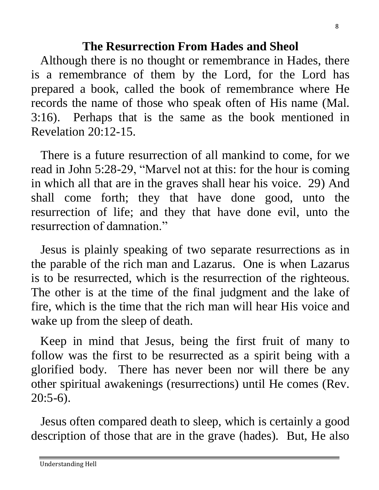#### **The Resurrection From Hades and Sheol**

 Although there is no thought or remembrance in Hades, there is a remembrance of them by the Lord, for the Lord has prepared a book, called the book of remembrance where He records the name of those who speak often of His name (Mal. 3:16). Perhaps that is the same as the book mentioned in Revelation 20:12-15.

 There is a future resurrection of all mankind to come, for we read in John 5:28-29, "Marvel not at this: for the hour is coming in which all that are in the graves shall hear his voice. 29) And shall come forth; they that have done good, unto the resurrection of life; and they that have done evil, unto the resurrection of damnation."

 Jesus is plainly speaking of two separate resurrections as in the parable of the rich man and Lazarus. One is when Lazarus is to be resurrected, which is the resurrection of the righteous. The other is at the time of the final judgment and the lake of fire, which is the time that the rich man will hear His voice and wake up from the sleep of death.

 Keep in mind that Jesus, being the first fruit of many to follow was the first to be resurrected as a spirit being with a glorified body. There has never been nor will there be any other spiritual awakenings (resurrections) until He comes (Rev.  $20:5-6$ ).

 Jesus often compared death to sleep, which is certainly a good description of those that are in the grave (hades). But, He also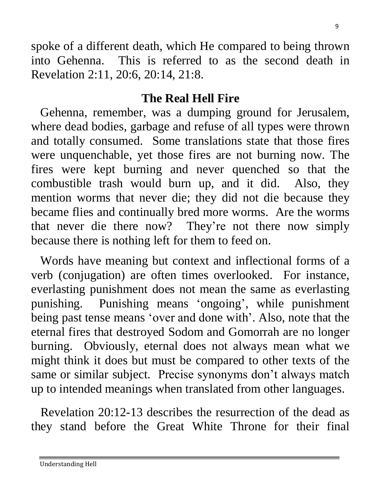spoke of a different death, which He compared to being thrown into Gehenna. This is referred to as the second death in Revelation 2:11, 20:6, 20:14, 21:8.

#### **The Real Hell Fire**

 Gehenna, remember, was a dumping ground for Jerusalem, where dead bodies, garbage and refuse of all types were thrown and totally consumed. Some translations state that those fires were unquenchable, yet those fires are not burning now. The fires were kept burning and never quenched so that the combustible trash would burn up, and it did. Also, they mention worms that never die; they did not die because they became flies and continually bred more worms. Are the worms that never die there now? They're not there now simply because there is nothing left for them to feed on.

 Words have meaning but context and inflectional forms of a verb (conjugation) are often times overlooked. For instance, everlasting punishment does not mean the same as everlasting punishing. Punishing means 'ongoing', while punishment being past tense means 'over and done with'. Also, note that the eternal fires that destroyed Sodom and Gomorrah are no longer burning. Obviously, eternal does not always mean what we might think it does but must be compared to other texts of the same or similar subject. Precise synonyms don't always match up to intended meanings when translated from other languages.

 Revelation 20:12-13 describes the resurrection of the dead as they stand before the Great White Throne for their final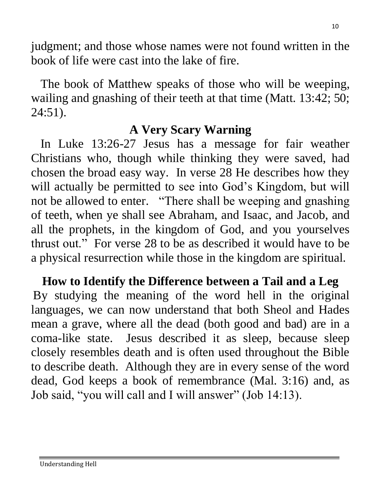judgment; and those whose names were not found written in the book of life were cast into the lake of fire.

 The book of Matthew speaks of those who will be weeping, wailing and gnashing of their teeth at that time (Matt. 13:42; 50; 24:51).

## **A Very Scary Warning**

 In Luke 13:26-27 Jesus has a message for fair weather Christians who, though while thinking they were saved, had chosen the broad easy way. In verse 28 He describes how they will actually be permitted to see into God's Kingdom, but will not be allowed to enter. "There shall be weeping and gnashing of teeth, when ye shall see Abraham, and Isaac, and Jacob, and all the prophets, in the kingdom of God, and you yourselves thrust out." For verse 28 to be as described it would have to be a physical resurrection while those in the kingdom are spiritual.

**How to Identify the Difference between a Tail and a Leg** By studying the meaning of the word hell in the original languages, we can now understand that both Sheol and Hades mean a grave, where all the dead (both good and bad) are in a coma-like state. Jesus described it as sleep, because sleep closely resembles death and is often used throughout the Bible to describe death. Although they are in every sense of the word dead, God keeps a book of remembrance (Mal. 3:16) and, as Job said, "you will call and I will answer" (Job 14:13).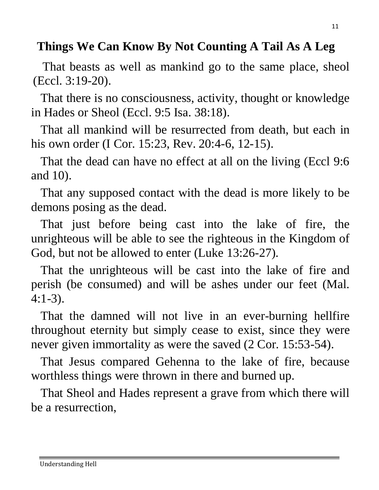# **Things We Can Know By Not Counting A Tail As A Leg**

 That beasts as well as mankind go to the same place, sheol (Eccl. 3:19-20).

 That there is no consciousness, activity, thought or knowledge in Hades or Sheol (Eccl. 9:5 Isa. 38:18).

 That all mankind will be resurrected from death, but each in his own order (I Cor. 15:23, Rev. 20:4-6, 12-15).

 That the dead can have no effect at all on the living (Eccl 9:6 and 10).

 That any supposed contact with the dead is more likely to be demons posing as the dead.

 That just before being cast into the lake of fire, the unrighteous will be able to see the righteous in the Kingdom of God, but not be allowed to enter (Luke 13:26-27).

 That the unrighteous will be cast into the lake of fire and perish (be consumed) and will be ashes under our feet (Mal. 4:1-3).

 That the damned will not live in an ever-burning hellfire throughout eternity but simply cease to exist, since they were never given immortality as were the saved  $(2 \text{ Cor. } 15:53-54)$ .

 That Jesus compared Gehenna to the lake of fire, because worthless things were thrown in there and burned up.

 That Sheol and Hades represent a grave from which there will be a resurrection,